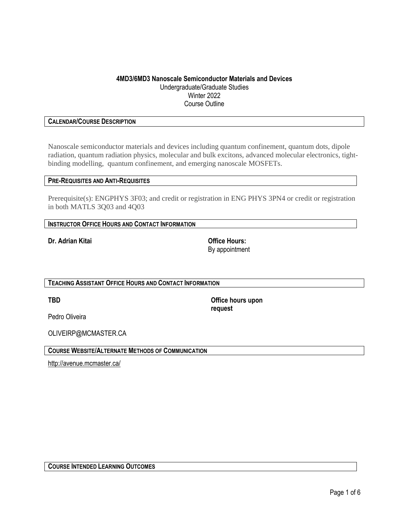# **4MD3/6MD3 Nanoscale Semiconductor Materials and Devices** Undergraduate/Graduate Studies Winter 2022 Course Outline

# **CALENDAR/COURSE DESCRIPTION**

Nanoscale semiconductor materials and devices including quantum confinement, quantum dots, dipole radiation, quantum radiation physics, molecular and bulk excitons, advanced molecular electronics, tightbinding modelling, quantum confinement, and emerging nanoscale MOSFETs.

### **PRE-REQUISITES AND ANTI-REQUISITES**

Prerequisite(s): ENGPHYS 3F03; and credit or registration in ENG PHYS 3PN4 or credit or registration in both MATLS 3Q03 and 4Q03

| <b>INSTRUCTOR OFFICE HOURS AND CONTACT INFORMATION</b> |  |
|--------------------------------------------------------|--|
|--------------------------------------------------------|--|

**Dr. Adrian Kitai Office Hours:**

By appointment

**TEACHING ASSISTANT OFFICE HOURS AND CONTACT INFORMATION**

**TBD Office hours upon request**

Pedro Oliveira

OLIVEIRP@MCMASTER.CA

**COURSE WEBSITE/ALTERNATE METHODS OF COMMUNICATION**

<http://avenue.mcmaster.ca/>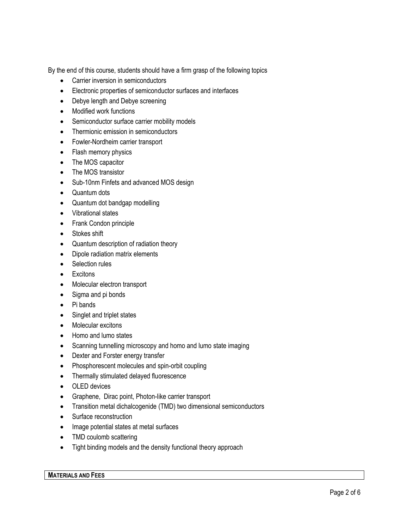By the end of this course, students should have a firm grasp of the following topics

- Carrier inversion in semiconductors
- Electronic properties of semiconductor surfaces and interfaces
- Debye length and Debye screening
- Modified work functions
- Semiconductor surface carrier mobility models
- Thermionic emission in semiconductors
- Fowler-Nordheim carrier transport
- Flash memory physics
- The MOS capacitor
- The MOS transistor
- Sub-10nm Finfets and advanced MOS design
- Quantum dots
- Quantum dot bandgap modelling
- Vibrational states
- Frank Condon principle
- Stokes shift
- Quantum description of radiation theory
- Dipole radiation matrix elements
- Selection rules
- Excitons
- Molecular electron transport
- Sigma and pi bonds
- Pi bands
- Singlet and triplet states
- Molecular excitons
- Homo and lumo states
- Scanning tunnelling microscopy and homo and lumo state imaging
- Dexter and Forster energy transfer
- Phosphorescent molecules and spin-orbit coupling
- Thermally stimulated delayed fluorescence
- OLED devices
- Graphene, Dirac point, Photon-like carrier transport
- Transition metal dichalcogenide (TMD) two dimensional semiconductors
- Surface reconstruction
- Image potential states at metal surfaces
- TMD coulomb scattering
- Tight binding models and the density functional theory approach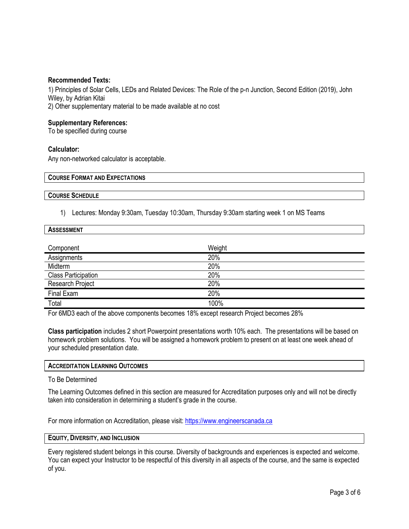### **Recommended Texts:**

1) Principles of Solar Cells, LEDs and Related Devices: The Role of the p-n Junction, Second Edition (2019), John Wiley, by Adrian Kitai

2) Other supplementary material to be made available at no cost

# **Supplementary References:**

To be specified during course

# **Calculator:**

Any non-networked calculator is acceptable.

| <b>COURSE FORMAT AND EXPECTATIONS</b> |  |
|---------------------------------------|--|
|                                       |  |
|                                       |  |
|                                       |  |
| <b>COURSE SCHEDULE</b>                |  |

1) Lectures: Monday 9:30am, Tuesday 10:30am, Thursday 9:30am starting week 1 on MS Teams

| <b>ASSESSMENT</b>          |        |  |
|----------------------------|--------|--|
|                            |        |  |
| Component                  | Weight |  |
| Assignments                | 20%    |  |
| Midterm                    | 20%    |  |
| <b>Class Participation</b> | 20%    |  |
| Research Project           | 20%    |  |
| Final Exam                 | 20%    |  |
| Total                      | 100%   |  |

For 6MD3 each of the above components becomes 18% except research Project becomes 28%

**Class participation** includes 2 short Powerpoint presentations worth 10% each. The presentations will be based on homework problem solutions. You will be assigned a homework problem to present on at least one week ahead of your scheduled presentation date.

### **ACCREDITATION LEARNING OUTCOMES**

### To Be Determined

The Learning Outcomes defined in this section are measured for Accreditation purposes only and will not be directly taken into consideration in determining a student's grade in the course.

For more information on Accreditation, please visit: [https://www.engineerscanada.ca](https://www.engineerscanada.ca/)

### **EQUITY, DIVERSITY, AND INCLUSION**

Every registered student belongs in this course. Diversity of backgrounds and experiences is expected and welcome. You can expect your Instructor to be respectful of this diversity in all aspects of the course, and the same is expected of you.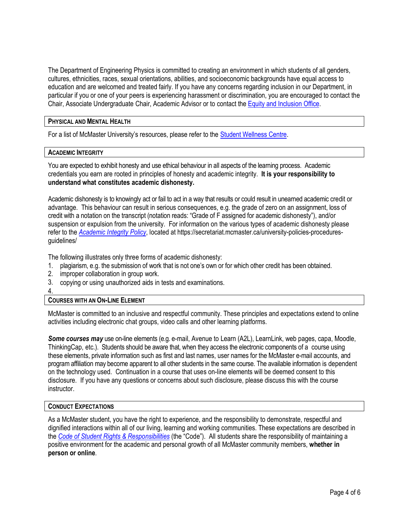The Department of Engineering Physics is committed to creating an environment in which students of all genders, cultures, ethnicities, races, sexual orientations, abilities, and socioeconomic backgrounds have equal access to education and are welcomed and treated fairly. If you have any concerns regarding inclusion in our Department, in particular if you or one of your peers is experiencing harassment or discrimination, you are encouraged to contact the Chair, Associate Undergraduate Chair, Academic Advisor or to contact the Equity and [Inclusion](https://equity.mcmaster.ca/) Office.

### **PHYSICAL AND MENTAL HEALTH**

For a list of McMaster University's resources, please refer to the [Student Wellness Centre.](https://wellness.mcmaster.ca/)

#### **ACADEMIC INTEGRITY**

You are expected to exhibit honesty and use ethical behaviour in all aspects of the learning process. Academic credentials you earn are rooted in principles of honesty and academic integrity. **It is your responsibility to understand what constitutes academic dishonesty.**

Academic dishonesty is to knowingly act or fail to act in a way that results or could result in unearned academic credit or advantage. This behaviour can result in serious consequences, e.g. the grade of zero on an assignment, loss of credit with a notation on the transcript (notation reads: "Grade of F assigned for academic dishonesty"), and/or suspension or expulsion from the university. For information on the various types of academic dishonesty please refer to the *[Academic Integrity Policy](https://secretariat.mcmaster.ca/app/uploads/Academic-Integrity-Policy-1-1.pdf)*[,](https://secretariat.mcmaster.ca/app/uploads/Academic-Integrity-Policy-1-1.pdf) located at https://secretariat.mcmaster.ca/university-policies-proceduresguidelines/

The following illustrates only three forms of academic dishonesty:

- 1. plagiarism, e.g. the submission of work that is not one's own or for which other credit has been obtained.
- 2. improper collaboration in group work.
- 3. copying or using unauthorized aids in tests and examinations.
- 4.

# **COURSES WITH AN ON-LINE ELEMENT**

McMaster is committed to an inclusive and respectful community. These principles and expectations extend to online activities including electronic chat groups, video calls and other learning platforms.

*Some courses may* use on-line elements (e.g. e-mail, Avenue to Learn (A2L), LearnLink, web pages, capa, Moodle, ThinkingCap, etc.). Students should be aware that, when they access the electronic components of a course using these elements, private information such as first and last names, user names for the McMaster e-mail accounts, and program affiliation may become apparent to all other students in the same course. The available information is dependent on the technology used. Continuation in a course that uses on-line elements will be deemed consent to this disclosure. If you have any questions or concerns about such disclosure, please discuss this with the course instructor.

#### **CONDUCT EXPECTATIONS**

As a McMaster student, you have the right to experience, and the responsibility to demonstrate, respectful and dignified interactions within all of our living, learning and working communities. These expectations are described in the *Code of Student Rights & [Responsibilities](https://secretariat.mcmaster.ca/app/uploads/Code-of-Student-Rights-and-Responsibilities.pdf)* (the "Code"). All students share the responsibility of maintaining a positive environment for the academic and personal growth of all McMaster community members, **whether in person or online**.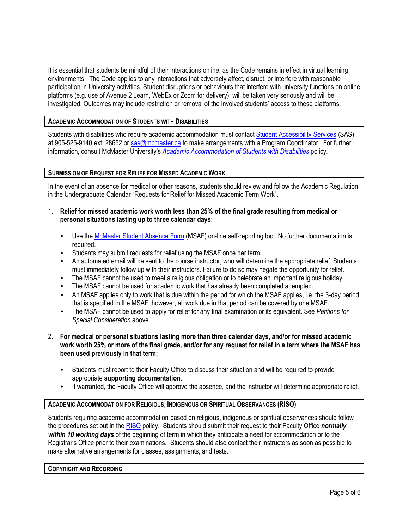It is essential that students be mindful of their interactions online, as the Code remains in effect in virtual learning environments. The Code applies to any interactions that adversely affect, disrupt, or interfere with reasonable participation in University activities. Student disruptions or behaviours that interfere with university functions on online platforms (e.g. use of Avenue 2 Learn, WebEx or Zoom for delivery), will be taken very seriously and will be investigated. Outcomes may include restriction or removal of the involved students' access to these platforms.

# **ACADEMIC ACCOMMODATION OF STUDENTS WITH DISABILITIES**

Students with disabilities who require academic accommodation must contact Student [Accessibility Services](https://sas.mcmaster.ca/) (SAS) at 905-525-9140 ext. 28652 or [sas@mcmaster.ca](mailto:sas@mcmaster.ca) to make arrangements with a Program Coordinator. For further information, consult McMaster University's *[Academic Accommodation](https://secretariat.mcmaster.ca/app/uploads/Academic-Accommodations-Policy.pdf) of Students with Disabilities* policy.

# **SUBMISSION OF REQUEST FOR RELIEF FOR MISSED ACADEMIC WORK**

In the event of an absence for medical or other reasons, students should review and follow the Academic Regulation in the Undergraduate Calendar "Requests for Relief for Missed Academic Term Work".

- 1. **Relief for missed academic work worth less than 25% of the final grade resulting from medical or personal situations lasting up to three calendar days:**
	- Use th[e McMaster Student Absence Form](http://mcmaster.ca/msaf/) (MSAF) on-line self-reporting tool. No further documentation is required.
	- Students may submit requests for relief using the MSAF once per term.
	- An automated email will be sent to the course instructor, who will determine the appropriate relief. Students must immediately follow up with their instructors. Failure to do so may negate the opportunity for relief.
	- The MSAF cannot be used to meet a religious obligation or to celebrate an important religious holiday.
	- The MSAF cannot be used for academic work that has already been completed attempted.
	- An MSAF applies only to work that is due within the period for which the MSAF applies, i.e. the 3-day period that is specified in the MSAF; however, all work due in that period can be covered by one MSAF.
	- The MSAF cannot be used to apply for relief for any final examination or its equivalent. See *Petitions for Special Consideration* above.
- 2. **For medical or personal situations lasting more than three calendar days, and/or for missed academic work worth 25% or more of the final grade, and/or for any request for relief in a term where the MSAF has been used previously in that term:**
	- Students must report to their Faculty Office to discuss their situation and will be required to provide appropriate **supporting documentation**.
	- If warranted, the Faculty Office will approve the absence, and the instructor will determine appropriate relief.

# **ACADEMIC ACCOMMODATION FOR RELIGIOUS, INDIGENOUS OR SPIRITUAL OBSERVANCES (RISO)**

Students requiring academic accommodation based on religious, indigenous or spiritual observances should follow the procedures set out in the [RISO](https://secretariat.mcmaster.ca/app/uploads/2019/02/Academic-Accommodation-for-Religious-Indigenous-and-Spiritual-Observances-Policy-on.pdf) policy. Students should submit their request to their Faculty Office *normally within 10 working days* of the beginning of term in which they anticipate a need for accommodation or to the Registrar's Office prior to their examinations. Students should also contact their instructors as soon as possible to make alternative arrangements for classes, assignments, and tests.

#### **COPYRIGHT AND RECORDING**